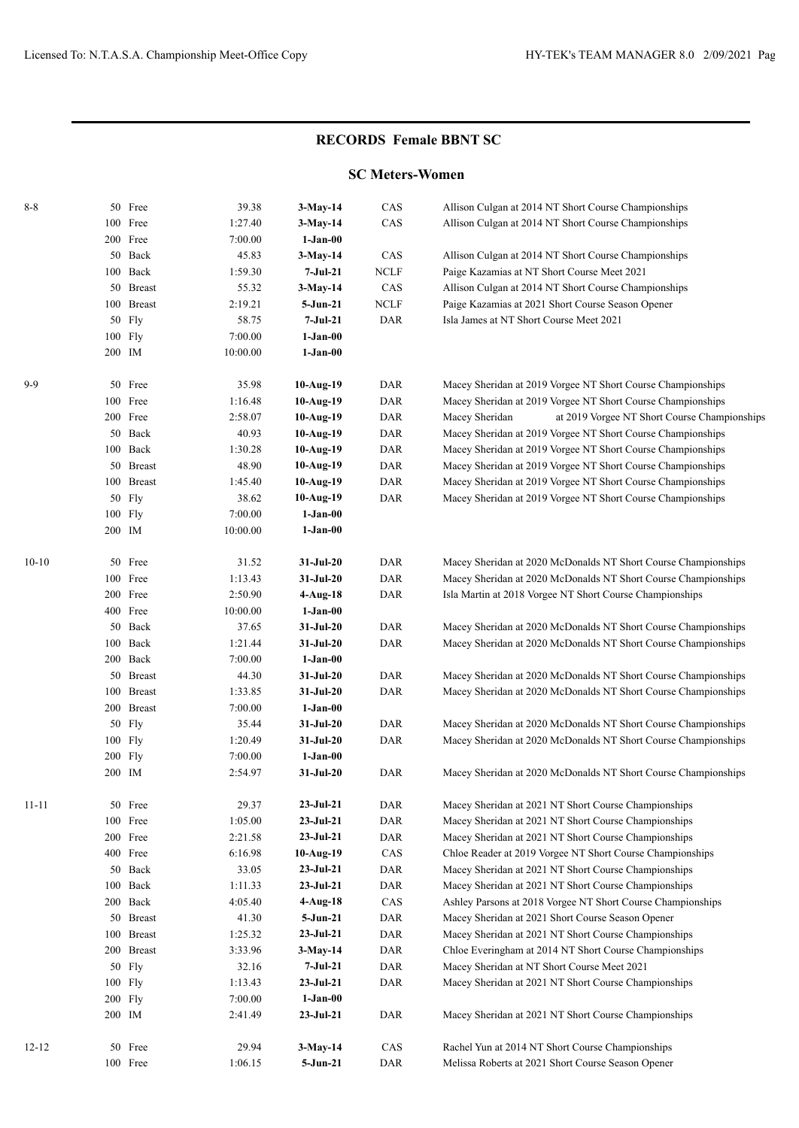## **RECORDS Female BBNT SC**

## **SC Meters-Women**

| $8 - 8$   |         | 50 Free              | 39.38            | $3-May-14$             | CAS         | Allison Culgan at 2014 NT Short Course Championships                                                  |
|-----------|---------|----------------------|------------------|------------------------|-------------|-------------------------------------------------------------------------------------------------------|
|           |         | 100 Free             | 1:27.40          | $3-May-14$             | CAS         | Allison Culgan at 2014 NT Short Course Championships                                                  |
|           |         | 200 Free             | 7:00.00          | $1-Jan-00$             |             |                                                                                                       |
|           |         | 50 Back              | 45.83            | $3-May-14$             | CAS         | Allison Culgan at 2014 NT Short Course Championships                                                  |
|           |         | 100 Back             | 1:59.30          | 7-Jul-21               | <b>NCLF</b> | Paige Kazamias at NT Short Course Meet 2021                                                           |
|           |         | 50 Breast            | 55.32            | $3-May-14$             | CAS         | Allison Culgan at 2014 NT Short Course Championships                                                  |
|           |         | 100 Breast           | 2:19.21          | 5-Jun-21               | <b>NCLF</b> | Paige Kazamias at 2021 Short Course Season Opener                                                     |
|           |         | 50 Fly               | 58.75            | $7-Jul-21$             | <b>DAR</b>  | Isla James at NT Short Course Meet 2021                                                               |
|           |         | 100 Fly              | 7:00.00          | $1-Jan-00$             |             |                                                                                                       |
|           | 200 IM  |                      | 10:00.00         | $1-Jan-00$             |             |                                                                                                       |
|           |         |                      |                  |                        |             |                                                                                                       |
| $9-9$     |         | 50 Free              | 35.98            | 10-Aug-19              | DAR         | Macey Sheridan at 2019 Vorgee NT Short Course Championships                                           |
|           |         | 100 Free             | 1:16.48          | $10-Aug-19$            | DAR         | Macey Sheridan at 2019 Vorgee NT Short Course Championships                                           |
|           |         | 200 Free             | 2:58.07          | $10-Aug-19$            | DAR         | Macey Sheridan<br>at 2019 Vorgee NT Short Course Championships                                        |
|           |         | 50 Back              | 40.93            | $10-Aug-19$            | DAR         | Macey Sheridan at 2019 Vorgee NT Short Course Championships                                           |
|           |         | 100 Back             | 1:30.28          | $10-Aug-19$            | DAR         | Macey Sheridan at 2019 Vorgee NT Short Course Championships                                           |
|           |         | 50 Breast            | 48.90            | 10-Aug-19              | DAR         | Macey Sheridan at 2019 Vorgee NT Short Course Championships                                           |
|           |         | 100 Breast           | 1:45.40          | 10-Aug-19              | DAR         | Macey Sheridan at 2019 Vorgee NT Short Course Championships                                           |
|           |         | 50 Fly               | 38.62            | $10-Aug-19$            | DAR         | Macey Sheridan at 2019 Vorgee NT Short Course Championships                                           |
|           |         | 100 Fly              | 7:00.00          | $1-Jan-00$             |             |                                                                                                       |
|           | 200 IM  |                      | 10:00.00         | $1-Jan-00$             |             |                                                                                                       |
| $10-10$   |         | 50 Free              | 31.52            | $31-Jul-20$            | <b>DAR</b>  | Macey Sheridan at 2020 McDonalds NT Short Course Championships                                        |
|           |         | 100 Free             | 1:13.43          | $31-Jul-20$            | DAR         | Macey Sheridan at 2020 McDonalds NT Short Course Championships                                        |
|           |         | 200 Free             | 2:50.90          | $4-Aug-18$             | DAR         | Isla Martin at 2018 Vorgee NT Short Course Championships                                              |
|           |         | 400 Free             | 10:00.00         | $1-Jan-00$             |             |                                                                                                       |
|           |         | 50 Back              | 37.65            | $31-Jul-20$            | DAR         | Macey Sheridan at 2020 McDonalds NT Short Course Championships                                        |
|           |         | 100 Back             | 1:21.44          | $31-Jul-20$            | DAR         | Macey Sheridan at 2020 McDonalds NT Short Course Championships                                        |
|           |         | 200 Back             | 7:00.00          | $1-Jan-00$             |             |                                                                                                       |
|           |         | 50 Breast            | 44.30            | $31-Jul-20$            | DAR         | Macey Sheridan at 2020 McDonalds NT Short Course Championships                                        |
|           |         | 100 Breast           | 1:33.85          | $31-Jul-20$            | DAR         | Macey Sheridan at 2020 McDonalds NT Short Course Championships                                        |
|           |         | 200 Breast           | 7:00.00          | $1-Jan-00$             |             |                                                                                                       |
|           |         | 50 Fly               | 35.44            | $31-Jul-20$            | DAR         | Macey Sheridan at 2020 McDonalds NT Short Course Championships                                        |
|           |         | 100 Fly              | 1:20.49          | $31-Jul-20$            | DAR         | Macey Sheridan at 2020 McDonalds NT Short Course Championships                                        |
|           |         | 200 Fly              | 7:00.00          | $1-Jan-00$             |             |                                                                                                       |
|           | 200 IM  |                      | 2:54.97          | $31-Jul-20$            | DAR         | Macey Sheridan at 2020 McDonalds NT Short Course Championships                                        |
| $11 - 11$ |         | 50 Free              | 29.37            | $23-Jul-21$            | DAR         | Macey Sheridan at 2021 NT Short Course Championships                                                  |
|           |         | 100 Free             | 1:05.00          | $23-Jul-21$            | DAR         | Macey Sheridan at 2021 NT Short Course Championships                                                  |
|           |         | 200 Free             | 2:21.58          | $23 - Jul - 21$        | DAR         | Macey Sheridan at 2021 NT Short Course Championships                                                  |
|           |         | 400 Free             | 6:16.98          | $10-Aug-19$            | CAS         | Chloe Reader at 2019 Vorgee NT Short Course Championships                                             |
|           |         | 50 Back              | 33.05            | $23-Jul-21$            | DAR         | Macey Sheridan at 2021 NT Short Course Championships                                                  |
|           |         | 100 Back             | 1:11.33          | $23-Jul-21$            | DAR         | Macey Sheridan at 2021 NT Short Course Championships                                                  |
|           |         | 200 Back             | 4:05.40          | $4-Aug-18$             | CAS         | Ashley Parsons at 2018 Vorgee NT Short Course Championships                                           |
|           |         | 50 Breast            | 41.30            | $5 - Jun-21$           | DAR         | Macey Sheridan at 2021 Short Course Season Opener                                                     |
|           |         | 100 Breast           | 1:25.32          | $23 - Jul - 21$        | DAR         | Macey Sheridan at 2021 NT Short Course Championships                                                  |
|           |         |                      |                  |                        |             |                                                                                                       |
|           |         | 200 Breast<br>50 Fly | 3:33.96<br>32.16 | $3-May-14$<br>7-Jul-21 | DAR<br>DAR  | Chloe Everingham at 2014 NT Short Course Championships<br>Macey Sheridan at NT Short Course Meet 2021 |
|           |         |                      |                  |                        |             |                                                                                                       |
|           |         | 100 Fly              | 1:13.43          | $23 - Jul - 21$        | DAR         | Macey Sheridan at 2021 NT Short Course Championships                                                  |
|           | 200 Fly |                      | 7:00.00          | $1-Jan-00$             |             |                                                                                                       |
|           | 200 IM  |                      | 2:41.49          | $23-Jul-21$            | DAR         | Macey Sheridan at 2021 NT Short Course Championships                                                  |
| $12 - 12$ |         | 50 Free              | 29.94            | $3-May-14$             | CAS         | Rachel Yun at 2014 NT Short Course Championships                                                      |
|           |         | 100 Free             | 1:06.15          | 5-Jun-21               | DAR         | Melissa Roberts at 2021 Short Course Season Opener                                                    |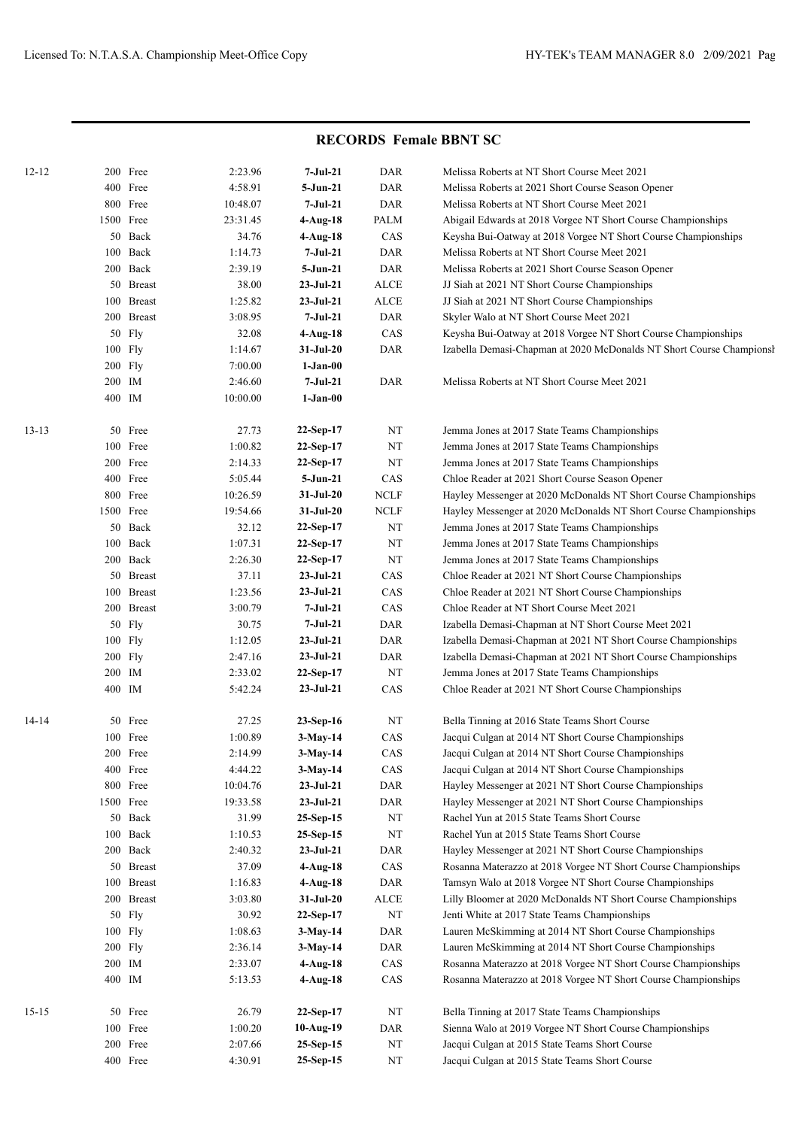## **RECORDS Female BBNT SC**

| $12 - 12$ |        | 200 Free   | 2:23.96  | 7-Jul-21        | DAR         | Melissa Roberts at NT Short Course Meet 2021                         |
|-----------|--------|------------|----------|-----------------|-------------|----------------------------------------------------------------------|
|           |        | 400 Free   | 4:58.91  | 5-Jun-21        | <b>DAR</b>  | Melissa Roberts at 2021 Short Course Season Opener                   |
|           |        | 800 Free   | 10:48.07 | 7-Jul-21        | <b>DAR</b>  | Melissa Roberts at NT Short Course Meet 2021                         |
|           |        | 1500 Free  | 23:31.45 | $4-Aug-18$      | PALM        | Abigail Edwards at 2018 Vorgee NT Short Course Championships         |
|           |        | 50 Back    | 34.76    | $4-Aug-18$      | CAS         | Keysha Bui-Oatway at 2018 Vorgee NT Short Course Championships       |
|           |        | 100 Back   | 1:14.73  | $7-Jul-21$      | <b>DAR</b>  | Melissa Roberts at NT Short Course Meet 2021                         |
|           |        | 200 Back   | 2:39.19  | 5-Jun-21        | <b>DAR</b>  | Melissa Roberts at 2021 Short Course Season Opener                   |
|           |        | 50 Breast  | 38.00    | $23-Jul-21$     | <b>ALCE</b> | JJ Siah at 2021 NT Short Course Championships                        |
|           |        | 100 Breast | 1:25.82  | $23-Jul-21$     | ALCE        | JJ Siah at 2021 NT Short Course Championships                        |
|           |        | 200 Breast | 3:08.95  | 7-Jul-21        | <b>DAR</b>  | Skyler Walo at NT Short Course Meet 2021                             |
|           |        | 50 Fly     | 32.08    | $4-Aug-18$      | CAS         | Keysha Bui-Oatway at 2018 Vorgee NT Short Course Championships       |
|           |        | 100 Fly    | 1:14.67  | $31-Ju$ l- $20$ | <b>DAR</b>  | Izabella Demasi-Chapman at 2020 McDonalds NT Short Course Championsh |
|           |        | 200 Fly    | 7:00.00  | $1-Jan-00$      |             |                                                                      |
|           |        | 200 IM     | 2:46.60  | 7-Jul-21        | <b>DAR</b>  | Melissa Roberts at NT Short Course Meet 2021                         |
|           | 400 IM |            | 10:00.00 | $1-Jan-00$      |             |                                                                      |
|           |        |            |          |                 |             |                                                                      |
| $13 - 13$ |        | 50 Free    | 27.73    | 22-Sep-17       | NT          | Jemma Jones at 2017 State Teams Championships                        |
|           |        | 100 Free   | 1:00.82  | 22-Sep-17       | NT          | Jemma Jones at 2017 State Teams Championships                        |
|           |        | 200 Free   | 2:14.33  | 22-Sep-17       | NT          | Jemma Jones at 2017 State Teams Championships                        |
|           |        | 400 Free   | 5:05.44  | 5-Jun-21        | CAS         | Chloe Reader at 2021 Short Course Season Opener                      |
|           |        | 800 Free   | 10:26.59 | $31-Jul-20$     | <b>NCLF</b> | Hayley Messenger at 2020 McDonalds NT Short Course Championships     |
|           |        | 1500 Free  | 19:54.66 | $31-Jul-20$     | <b>NCLF</b> | Hayley Messenger at 2020 McDonalds NT Short Course Championships     |
|           |        | 50 Back    | 32.12    | 22-Sep-17       | NT          | Jemma Jones at 2017 State Teams Championships                        |
|           |        | 100 Back   | 1:07.31  | 22-Sep-17       | NT          | Jemma Jones at 2017 State Teams Championships                        |
|           |        | 200 Back   | 2:26.30  | 22-Sep-17       | NT          | Jemma Jones at 2017 State Teams Championships                        |
|           |        | 50 Breast  | 37.11    | $23-Jul-21$     | CAS         | Chloe Reader at 2021 NT Short Course Championships                   |
|           |        | 100 Breast | 1:23.56  | $23-Jul-21$     | CAS         | Chloe Reader at 2021 NT Short Course Championships                   |
|           |        | 200 Breast | 3:00.79  | 7-Jul-21        | CAS         | Chloe Reader at NT Short Course Meet 2021                            |
|           |        | 50 Fly     | 30.75    | 7-Jul-21        | <b>DAR</b>  | Izabella Demasi-Chapman at NT Short Course Meet 2021                 |
|           |        | 100 Fly    | 1:12.05  | $23-Jul-21$     | <b>DAR</b>  | Izabella Demasi-Chapman at 2021 NT Short Course Championships        |
|           |        | $200$ Fly  | 2:47.16  | $23-Jul-21$     | <b>DAR</b>  | Izabella Demasi-Chapman at 2021 NT Short Course Championships        |
|           |        | 200 IM     | 2:33.02  | 22-Sep-17       | NT          | Jemma Jones at 2017 State Teams Championships                        |
|           | 400 IM |            | 5:42.24  | $23-Jul-21$     | CAS         | Chloe Reader at 2021 NT Short Course Championships                   |
| 14-14     |        | 50 Free    | 27.25    | $23-Sep-16$     | NT          | Bella Tinning at 2016 State Teams Short Course                       |
|           |        | 100 Free   | 1:00.89  | $3-May-14$      | CAS         | Jacqui Culgan at 2014 NT Short Course Championships                  |
|           |        | 200 Free   | 2:14.99  | 3-May-14        | CAS         | Jacqui Culgan at 2014 NT Short Course Championships                  |
|           |        | 400 Free   | 4:44.22  | $3-May-14$      | CAS         | Jacqui Culgan at 2014 NT Short Course Championships                  |
|           |        | 800 Free   | 10:04.76 | $23-Ju1-21$     | DAR         | Hayley Messenger at 2021 NT Short Course Championships               |
|           |        | 1500 Free  | 19:33.58 | $23-Ju1-21$     | DAR         | Hayley Messenger at 2021 NT Short Course Championships               |
|           |        | 50 Back    | 31.99    | 25-Sep-15       | $_{\rm NT}$ | Rachel Yun at 2015 State Teams Short Course                          |
|           |        | 100 Back   | 1:10.53  | 25-Sep-15       | $_{\rm NT}$ | Rachel Yun at 2015 State Teams Short Course                          |
|           |        | 200 Back   | 2:40.32  | $23-Ju1-21$     | DAR         | Hayley Messenger at 2021 NT Short Course Championships               |
|           |        | 50 Breast  | 37.09    | $4-Aug-18$      | CAS         | Rosanna Materazzo at 2018 Vorgee NT Short Course Championships       |
|           |        | 100 Breast | 1:16.83  | 4-Aug-18        | DAR         | Tamsyn Walo at 2018 Vorgee NT Short Course Championships             |
|           |        | 200 Breast | 3:03.80  | 31-Jul-20       | ALCE        | Lilly Bloomer at 2020 McDonalds NT Short Course Championships        |
|           |        | 50 Fly     | 30.92    | 22-Sep-17       | NT          | Jenti White at 2017 State Teams Championships                        |
|           |        | 100 Fly    | 1:08.63  | $3-May-14$      | DAR         | Lauren McSkimming at 2014 NT Short Course Championships              |
|           |        | 200 Fly    | 2:36.14  | $3-May-14$      | DAR         | Lauren McSkimming at 2014 NT Short Course Championships              |
|           |        | 200 IM     | 2:33.07  | $4-Aug-18$      | CAS         | Rosanna Materazzo at 2018 Vorgee NT Short Course Championships       |
|           |        | 400 IM     | 5:13.53  | 4-Aug-18        | CAS         | Rosanna Materazzo at 2018 Vorgee NT Short Course Championships       |
| $15 - 15$ |        | 50 Free    | 26.79    | $22-Sep-17$     | NT          | Bella Tinning at 2017 State Teams Championships                      |
|           |        | 100 Free   | 1:00.20  | 10-Aug-19       | DAR         | Sienna Walo at 2019 Vorgee NT Short Course Championships             |
|           |        | 200 Free   | 2:07.66  | $25-Sep-15$     | $\rm{NT}$   | Jacqui Culgan at 2015 State Teams Short Course                       |
|           |        | 400 Free   | 4:30.91  | 25-Sep-15       | $\rm{NT}$   | Jacqui Culgan at 2015 State Teams Short Course                       |
|           |        |            |          |                 |             |                                                                      |